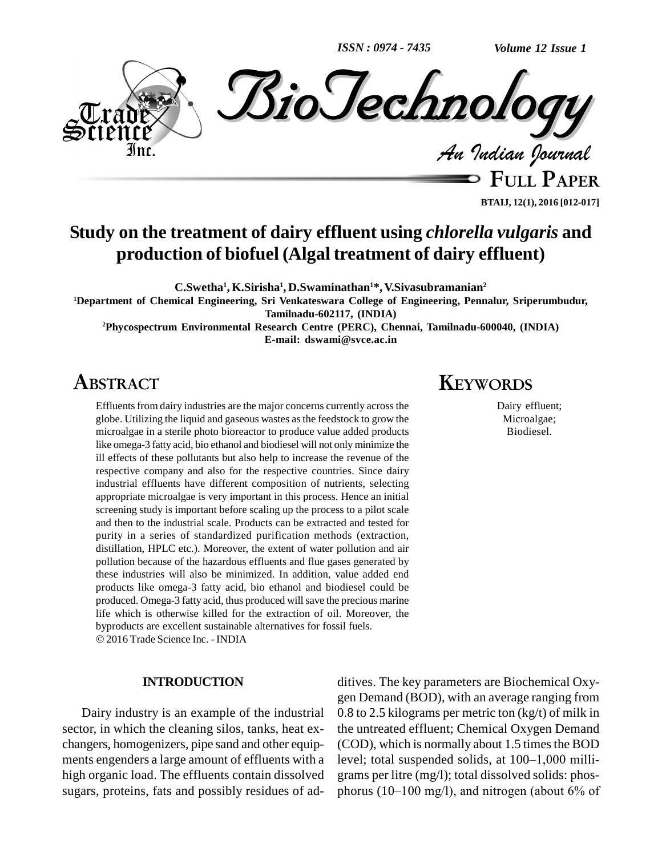*ISSN : 0974 - 7435*

*Volume 12 Issue 1*



**FULL PAPER BTAIJ, 12(1), 2016 [012-017]**

## **Study on the treatment of dairy effluent using** *chlorella vulgaris* **and production of biofuel (Algal treatment of dairy effluent)**

**C.Swetha 1 , K.Sirisha 1 , D.Swaminathan <sup>1</sup>\*, V.Sivasubramanian 2**

**<sup>1</sup>Department of Chemical Engineering, Sri Venkateswara College of Engineering, Pennalur, Sriperumbudur, Tamilnadu-602117, (INDIA)**

**<sup>2</sup>Phycospectrum Environmental Research Centre (PERC), Chennai, Tamilnadu-600040, (INDIA) E-mail: [dswami@svce.ac.in](mailto:dswami@svce.ac.in)**

## **ABSTRACT**

Effluents from dairy industries are the major concerns currently across the globe. Utilizing the liquid and gaseous wastes asthe feedstock to grow the microalgae in a sterile photo bioreactor to produce value added products like omega-3 fatty acid, bio ethanol and biodiesel will not only minimize the ill effects of these pollutants but also help to increase the revenue of the respective company and also for the respective countries. Since dairy industrial effluents have different composition of nutrients, selecting appropriate microalgae is very important in this process. Hence an initial screening study is important before scaling up the process to a pilot scale and then to the industrial scale. Products can be extracted and tested for purity in a series of standardized purification methods (extraction, distillation, HPLC etc.). Moreover, the extent of water pollution and air pollution because of the hazardous effluents and flue gases generated by these industries will also be minimized. In addition, value added end products like omega-3 fatty acid, bio ethanol and biodiesel could be produced. Omega-3 fatty acid, thus produced will save the precious marine life which is otherwise killed for the extraction of oil. Moreover, the byproducts are excellent sustainable alternatives for fossil fuels. 2016 Trade Science Inc. - INDIA

#### **INTRODUCTION**

Dairy industry is an example of the industrial sector, in which the cleaning silos, tanks, heat ex changers, homogenizers, pipe sand and other equip high organic load. The effluents contain dissolved sugars, proteins, fats and possibly residues of ad-

## **KEYWORDS**

Dairy effluent; Microalgae; Biodiesel.

ments engenders a large amount of effluents with a level; total suspended solids, at 100–1,000 milliditives. The key parameters are Biochemical Oxy gen Demand (BOD), with an average ranging from 0.8 to 2.5 kilograms per metric ton (kg/t) of milk in the untreated effluent; Chemical Oxygen Demand<br>(COD), which is normally about 1.5 times the BOD<br>level; total suspended solids, at 100–1,000 milli-(COD), which is normally about 1.5 times the BOD grams per litre (mg/l); total dissolved solids: phos phorus (10–100 mg/l), and nitrogen (about  $6\%$  of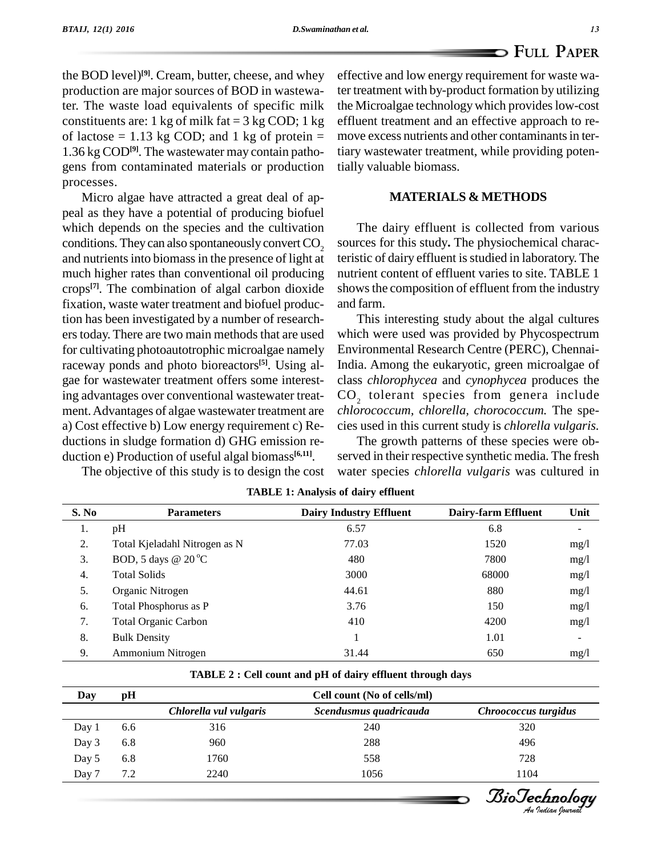the BOD level)<sup>[9]</sup>. Cream, butter, cheese, and whey effectively production are major sources of BOD in wastewater. The waste load equivalents of specific milk constituents are: 1 kg of milk fat  $= 3$  kg COD; 1 kg of lactose =  $1.13$  kg COD; and 1 kg of protein = 1.36 kg COD**[9]**. The wastewater may contain patho gens from contaminated materials or production processes.

Micro algae have attracted a great deal of ap peal as they have a potential of producing biofuel which depends on the species and the cultivation conditions. They can also spontaneously convert  $CO<sub>2</sub>$ and nutrients into biomass in the presence of light at much higher rates than conventional oil producing crops<sup>[7]</sup>. The combination of algal carbon dioxide shows fixation, waste water treatment and biofuel production has been investigated by a number of research ers today. There are two main methods that are used for cultivating photoautotrophic microalgae namely raceway ponds and photo bioreactors **[5]**. Using al gae for wastewater treatment offers some interesting advantages over conventional wastewater treat ment.Advantages of algae wastewater treatment are a) Cost effective b) Low energy requirement c) Re ductions in sludge formation d) GHG emission re duction e) Production of useful algal biomass **[6,11]**.

The objective of this study is to design the cost

effective and low energy requirement for waste water treatment with by-product formation by utilizing the Microalgae technology which provides low-cost effluent treatment and an effective approach to re move excess nutrients and other contaminants in tertiary wastewater treatment, while providing potentially valuable biomass.

#### **MATERIALS & METHODS**

The dairy effluent is collected from various sources for this study**.** The physiochemical characteristic of dairy effluent is studied in laboratory. The nutrient content of effluent varies to site. TABLE 1 shows the composition of effluent from the industry and farm.

This interesting study about the algal cultures which were used was provided by Phycospectrum Environmental Research Centre (PERC), Chennai-India. Among the eukaryotic, green microalgae of class *chlorophycea* and *cynophycea* produces the  $CO<sub>2</sub>$  tolerant species from genera include *chlorococcum, chlorella, chorococcum.* The spe cies used in this current study is *chlorella vulgaris.*

The growth patterns of these species were ob served in their respective synthetic media. The fresh water species *chlorella vulgaris* was cultured in

| S. No | <b>Parameters</b>             | <b>Dairy Industry Effluent</b> | Dairy-farm Effluent | Unit |
|-------|-------------------------------|--------------------------------|---------------------|------|
| Ī.    | pH                            | 6.57                           | 6.8                 |      |
| 2.    | Total Kjeladahl Nitrogen as N | 77.03                          | 1520                | mg/1 |
| 3.    | BOD, 5 days @ $20^{\circ}$ C  | 480                            | 7800                | mg/1 |
| 4.    | <b>Total Solids</b>           | 3000                           | 68000               | mg/1 |
| 5.    | Organic Nitrogen              | 44.61                          | 880                 | mg/1 |
| 6.    | Total Phosphorus as P         | 3.76                           | 150                 | mg/1 |
| 7.    | <b>Total Organic Carbon</b>   | 410                            | 4200                | mg/l |
| 8.    | <b>Bulk Density</b>           |                                | 1.01                |      |
| 9.    | Ammonium Nitrogen             | 31.44                          | 650                 | mg/l |

**TABLE 1: Analysis of dairy effluent**

|  | TABLE 2 : Cell count and pH of dairy effluent through days |  |
|--|------------------------------------------------------------|--|
|  |                                                            |  |

| Day   | pH  | Cell count (No of cells/ml) |                        |                      |  |
|-------|-----|-----------------------------|------------------------|----------------------|--|
|       |     | Chlorella vul vulgaris      | Scendusmus quadricauda | Chroococcus turgidus |  |
| Day 1 | 6.6 | 316                         | 240                    | 320                  |  |
| Day 3 | 6.8 | 960                         | 288                    | 496                  |  |
| Day 5 | 6.8 | 1760                        | 558                    | 728                  |  |
| Day 7 | 7.2 | 2240                        | 1056                   | 1104                 |  |

*Indian Journal*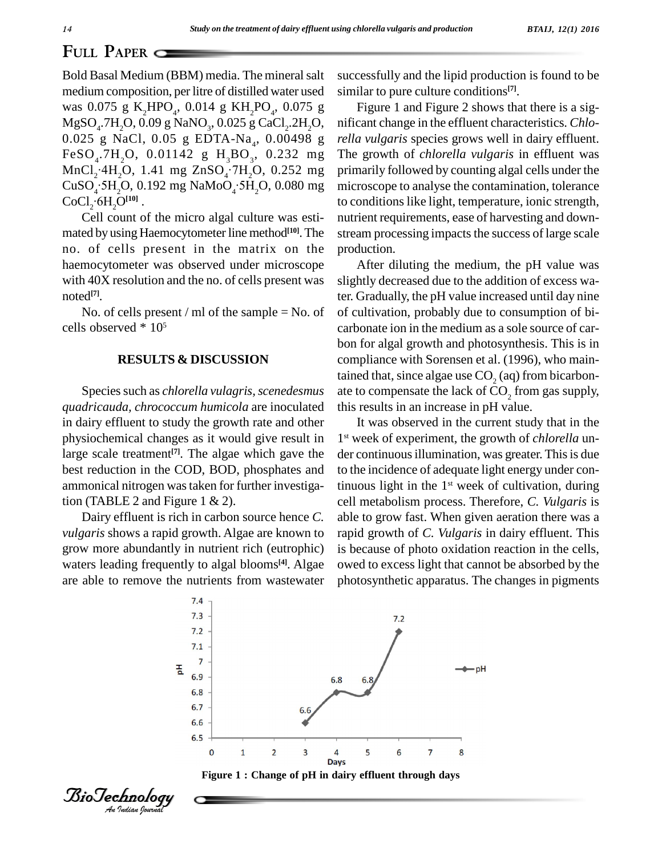### **FULL PAPER**

Bold Basal Medium (BBM) media. The mineral salt medium composition, per litre of distilled water used was  $0.075 \text{ g K}_2 \text{HPO}_4$ ,  $0.014 \text{ g KH}_2 \text{PO}_4$ ,  $0.075 \text{ g}$  Fig  $\mathrm{MgSO}_{4}$ .7H<sub>2</sub>O, 0.09 g NaNO<sub>3</sub>, 0.025 g CaCl<sub>2</sub>.2H<sub>2</sub>C MgSO<sub>4</sub>.7H<sub>2</sub>O, 0.09 g NaNO<sub>3</sub>, 0.025 g CaCl<sub>2</sub>.2H<sub>2</sub>O, nifican<br>0.025 g NaCl, 0.05 g EDTA-Na<sub>4</sub>, 0.00498 g *rella v*  $FeSO_4$ .7H<sub>2</sub>O, 0.01142 g H<sub>3</sub>BO<sub>3</sub>, 0.232 mg The gr  $MnCl_2$ <sup>2</sup>H<sub>2</sub>O, 1.41 mg ZnSO<sub>4</sub><sup>2</sup>7H<sub>2</sub>O, 0.252 mg primar  $CuSO<sub>4</sub>$ :5H<sub>2</sub>O, 0.192 mg NaMoO<sub>4</sub>:5H<sub>2</sub>O, 0.080 mg micros  $CoCl<sub>2</sub>·6H<sub>2</sub>O<sup>[10]</sup>$ .

Cell count of the micro algal culture was estimated by using Haemocytometer line method<sup>[10]</sup>. The strean no. of cells present in the matrix on the haemocytometer was observed under microscope with 40X resolution and the no. of cells present was noted **[7]**.

No. of cells present / ml of the sample  $=$  No. of cells observed \* 10 5

#### **RESULTS & DISCUSSION**

*quadricauda, chrococcum humicola* are inoculated in dairy effluent to study the growth rate and other physiochemical changes as it would give result in large scale treatment<sup>[7]</sup>. The algae which gave the der co best reduction in the COD, BOD, phosphates and ammonical nitrogen wastaken for further investigation (TABLE 2 and Figure 1  $\&$  2).

Dairy effluent is rich in carbon source hence *C. vulgaris* shows a rapid growth. Algae are known to grow more abundantly in nutrient rich (eutrophic) waters leading frequently to algal blooms<sup>[4]</sup>. Algae owed are able to remove the nutrients from wastewater

successfully and the lipid production is found to be similar to pure culture conditions **[7]**.

Figure 1 and Figure 2 shows that there is a sig nificant change in the effluent characteristics. *Chlo rella vulgaris* species grows well in dairy effluent. The growth of*chlorella vulgaris* in effluent was primarily followed by counting algal cells under the microscope to analyse the contamination, tolerance to conditions like light, temperature, ionic strength, nutrient requirements, ease of harvesting and down stream processing impacts the success of large scale production.

Species such as *chlorella vulagris, scenedesmus* ate to compensate the lack of CO<sub>2</sub> from gas supply, After diluting the medium, the pH value was slightly decreased due to the addition of excess water. Gradually, the pH value increased until day nine of cultivation, probably due to consumption of bi carbonate ion in the medium as a sole source of car bon for algal growth and photosynthesis. This is in compliance with Sorensen et al. (1996), who maintained that, since algae use  $CO<sub>2</sub>$  (aq) from bicarbon-

> It was observed in the current study that in the 1 st week of experiment, the growth of *chlorella* un der continuous illumination, was greater. This is due to the incidence of adequate light energy under continuous light in the 1<sup>st</sup> week of cultivation, during cell metabolism process. Therefore, *C. Vulgaris* is able to grow fast. When given aeration there was a rapid growth of *C. Vulgaris* in dairy effluent. This is because of photo oxidation reaction in the cells, owed to excess light that cannot be absorbed by the photosynthetic apparatus. The changes in pigments





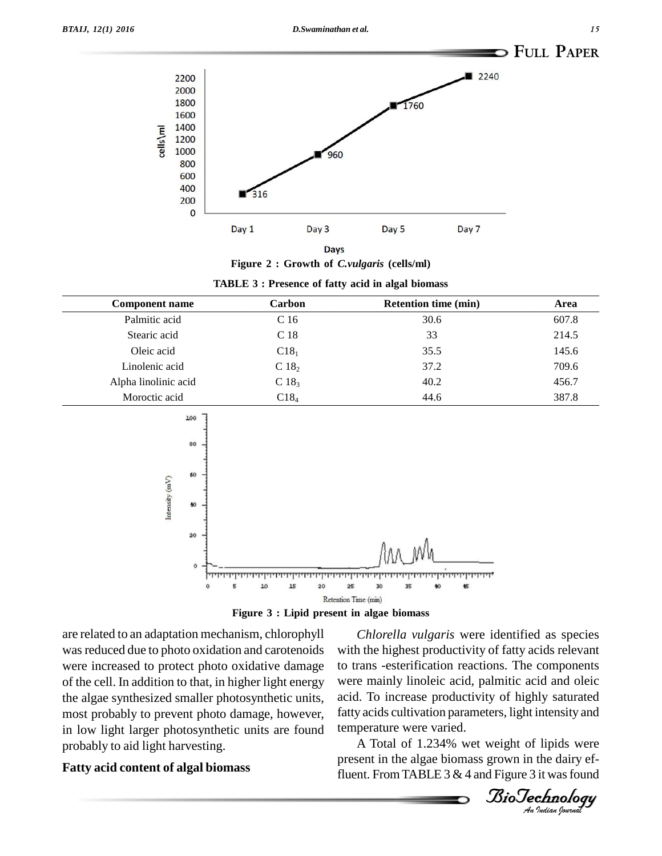

**Figure 2 : Growth of** *C.vulgaris* **(cells/ml)**

| <b>TABLE 3: Presence of fatty acid in algal biomass</b> |  |  |  |  |  |
|---------------------------------------------------------|--|--|--|--|--|
|---------------------------------------------------------|--|--|--|--|--|

| <b>Component name</b> | Carbon           | <b>Retention time (min)</b> | Area  |
|-----------------------|------------------|-----------------------------|-------|
| Palmitic acid         | C <sub>16</sub>  | 30.6                        | 607.8 |
| Stearic acid          | C <sub>18</sub>  | 33                          | 214.5 |
| Oleic acid            | C18 <sub>1</sub> | 35.5                        | 145.6 |
| Linolenic acid        | C18 <sub>2</sub> | 37.2                        | 709.6 |
| Alpha linolinic acid  | C18 <sub>3</sub> | 40.2                        | 456.7 |
| Moroctic acid         | C18 <sub>4</sub> | 44.6                        | 387.8 |



**Figure 3 : Lipid present in algae biomass**

are related to an adaptation mechanism, chlorophyll was reduced due to photo oxidation and carotenoids were increased to protect photo oxidative damage of the cell. In addition to that, in higher light energy the algae synthesized smaller photosynthetic units, most probably to prevent photo damage, however, in low light larger photosynthetic units are found probably to aid light harvesting.

### **Fatty acid content of algal biomass**

biotechnology-sterming measuries. The components were mainly linoleic acid, palmitic acid and oleic fatty acids cultivation parameters, light intensity and *Chlorella vulgaris* were identified as species with the highest productivity of fatty acids relevant to trans -esterification reactions. The components acid. To increase productivity of highly saturated temperature were varied.

A Total of 1.234% wet weight of lipids were present in the algae biomass grown in the dairy effluent. From TABLE  $3 & 4$  and Figure  $3$  it was found

*BioTechnology*<br>An Indian Journal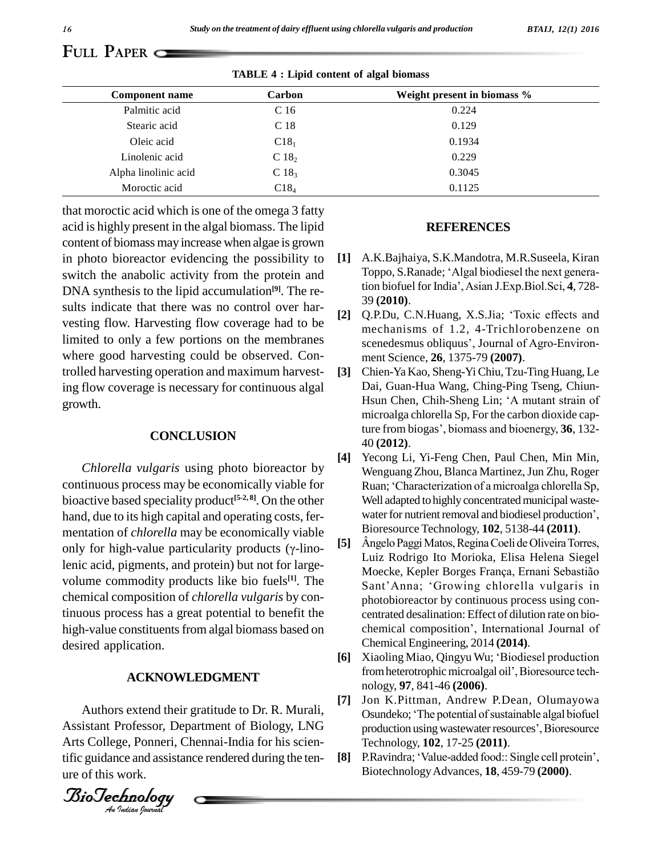#### *BTAIJ, 12(1) 2016*

# **FULL PAPER**

**TABLE 4 : Lipid content of algal biomass**

| <b>Component name</b> | Carbon           | Weight present in biomass % |
|-----------------------|------------------|-----------------------------|
| Palmitic acid         | C <sub>16</sub>  | 0.224                       |
| Stearic acid          | C 18             | 0.129                       |
| Oleic acid            | C18 <sub>1</sub> | 0.1934                      |
| Linolenic acid        | C18 <sub>2</sub> | 0.229                       |
| Alpha linolinic acid  | $C18_3$          | 0.3045                      |
| Moroctic acid         | C18 <sub>4</sub> | 0.1125                      |

that moroctic acid which is one of the omega 3 fatty acid ishighly present in the algal biomass. The lipid content of biomass may increase when algae is grown in photo bioreactor evidencing the possibility to [1] switch the anabolic activity from the protein and DNA synthesis to the lipid accumulation **[9]**. The re sults indicate that there was no control over har-<br>[2] vesting flow. Harvesting flow coverage had to be<br>reaching flow. Harvesting flow coverage had to be<br>reaching of 1.2.4 Trichlorobanzane on limited to only a few portions on the membranes where good harvesting could be observed. Controlled harvesting operation and maximum harvesting flow coverage is necessary for continuous algal growth.

### **CONCLUSION**

*Chlorella vulgaris* using photo bioreactor by continuous process may be economically viable for bioactive based speciality product **[5-2, 8]**. On the other hand, due to its high capital and operating costs, fer-<br>mentation of *chlorella* may be economically viable<br>only for high-value particularity products (γ-linomentation of *chlorella* may be economically viable<br>only for high-value particularity products (*x*-linolenic acid, pigments, and protein) but not for large volume commodity products like bio fuels **[1]**. The chemical composition of *chlorella vulgaris* by continuous process has a great potential to benefit the desired application.

# $ACKNOWLEDGMENT$

*An*Assistant Professor, Department of Biology, LNG Authors extend their gratitude to Dr. R. Murali, Arts College, Ponneri, Chennai-India for his scientific guidance and assistance rendered during the tenure of this work.

*Indian Journal*

#### **REFERENCES**

- **[1]** A.K.Bajhaiya, S.K.Mandotra, M.R.Suseela, Kiran Toppo, S.Ranade; 'Algal biodiesel the next genera-A.K.Bajhaiya, S.K.Mandotra, M.R.Suseela, Kiran<br>Toppo, S.Ranade; 'Algal biodiesel the next genera-<br>tion biofuel for India', Asian J.Exp.Biol.Sci, **4**, 728-39 **(2010)**. tion biofuel for India', Asian J.Exp.Biol.Sci, 4, 728-<br>39 (2010).<br>[2] Q.P.Du, C.N.Huang, X.S.Jia; 'Toxic effects and
- mechanisms of 1.2, 4-Trichlorobenzene on scenedesmus obliquus', Journal of Agro-Environment Science, **26**, 1375-79 **(2007)**.
- **[3]** Chien-Ya Kao, Sheng-YiChiu,Tzu-Ting Huang, Le Dai, Guan-Hua Wang, Ching-Ping Tseng, Chiun- Chien-Ya Kao, Sheng-Yi Chiu, Tzu-Ting Huang, Le<br>Dai, Guan-Hua Wang, Ching-Ping Tseng, Chiun-<br>Hsun Chen, Chih-Sheng Lin; 'A mutant strain of microalga chlorella Sp, For the carbon dioxide cap-Hsun Chen, Chih-Sheng Lin; 'A mutant strain of<br>microalga chlorella Sp, For the carbon dioxide cap-<br>ture from biogas', biomass and bioenergy, **36**, 132-40 **(2012)**.
- **[4]** Yecong Li, Yi-Feng Chen, Paul Chen, Min Min, Ruan; ëCharacterization of amicroalga chlorella Sp, Wenguang Zhou, Blanca Martinez, Jun Zhu, Roger Well adapted to highly concentrated municipal waste-Ruan; 'Characterization of a microalga chlorella Sp,<br>Well adapted to highly concentrated municipal wastewater for nutrient removal and biodiesel production', Bioresource Technology, **102**, 5138-44 **(2011)**.
- high-value constituents from algal biomass based on chemical composition', International Journal of Angelo Paggi Matos, Regina Coeli de Oliveira Torres, Luiz Rodrigo Ito Morioka, Elisa Helena Siegel Ângelo Paggi Matos, Regina Coeli de Oliveira Torres,<br>Luiz Rodrigo Ito Morioka, Elisa Helena Siegel<br>Moecke, Kepler Borges França, Ernani Sebastião Luiz Rodrigo Ito Morioka, Elisa Helena Siegel<br>Moecke, Kepler Borges França, Ernani Sebastião<br>Sant'Anna; 'Growing chlorella vulgaris in photobioreactor by continuous process using con-<br>centrated desalination: Effect of dilution rate on bio-<br>chemical composition<sup>7</sup>, International Journal of centrated desalination: Effect of dilution rate on bio- Chemical Engineering, 2014 **(2014)**.
	- [6] Xiaoling Miao, Qingyu Wu; 'Biodiesel production from heterotrophic microalgal oil', Bioresource technology, **97**, 841-46 **(2006)**.
	- **[7]** Jon K.Pittman, Andrew P.Dean, Olumayowa Osundeko; 'The potential of sustainable algal biofuel production using wastewater resources', Bioresource Technology, **102**, 17-25 **(2011)**.
	- P.Ravindra; 'Value-added food:: Single cell protein', BiotechnologyAdvances, **18**, 459-79 **(2000)**.